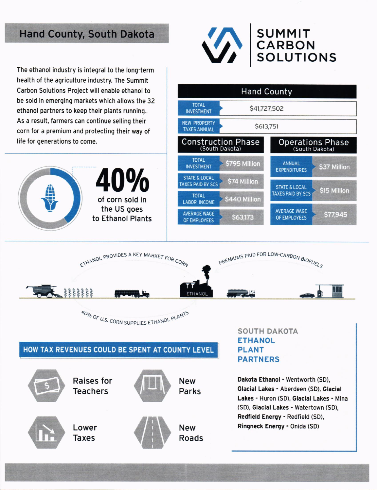## **Hand County, South Dakota**

The ethanol industry is integral to the long-term health of the agriculture industry. The Summit Carbon Solutions Project will enable ethanol to be sold in emerging markets which allows the 32 ethanol partners to keep their plants running. As a result, farmers can continue selling their corn for a premium and protecting their way of life for generations to come.









## HOW TAX REVENUES COULD BE SPENT AT COUNTY LEVEL



**Raises for Teachers** 





Lower **Taxes** 



**New** 

**Parks** 

**New** Roads **SOUTH DAKOTA ETHANOL PLANT PARTNERS** 

Dakota Ethanol - Wentworth (SD), Glacial Lakes - Aberdeen (SD), Glacial Lakes - Huron (SD), Glacial Lakes - Mina (SD), Glacial Lakes - Watertown (SD), Redfield Energy - Redfield (SD), Ringneck Energy - Onida (SD)